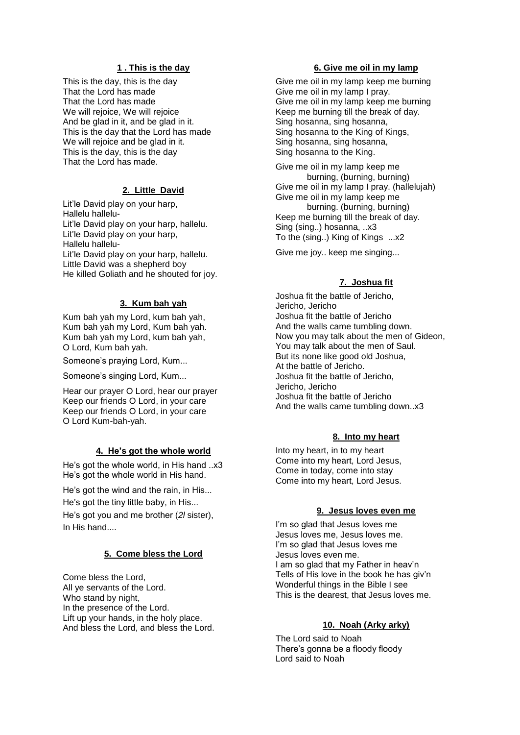#### **1 . This is the day**

This is the day, this is the day That the Lord has made That the Lord has made We will rejoice, We will rejoice And be glad in it, and be glad in it. This is the day that the Lord has made We will rejoice and be glad in it. This is the day, this is the day That the Lord has made.

## **2. Little David**

Lit'le David play on your harp, Hallelu hallelu-Lit'le David play on your harp, hallelu. Lit'le David play on your harp, Hallelu hallelu-Lit'le David play on your harp, hallelu. Little David was a shepherd boy He killed Goliath and he shouted for joy.

#### **3. Kum bah yah**

Kum bah yah my Lord, kum bah yah, Kum bah yah my Lord, Kum bah yah. Kum bah yah my Lord, kum bah yah, O Lord, Kum bah yah.

Someone's praying Lord, Kum...

Someone's singing Lord, Kum...

Hear our prayer O Lord, hear our prayer Keep our friends O Lord, in your care Keep our friends O Lord, in your care O Lord Kum-bah-yah.

#### **4. He's got the whole world**

He's got the whole world, in His hand ..x3 He's got the whole world in His hand.

He's got the wind and the rain, in His... He's got the tiny little baby, in His... He's got you and me brother (*2l* sister), In His hand....

## **5. Come bless the Lord**

Come bless the Lord, All ye servants of the Lord. Who stand by night. In the presence of the Lord. Lift up your hands, in the holy place. And bless the Lord, and bless the Lord.

## **6. Give me oil in my lamp**

Give me oil in my lamp keep me burning Give me oil in my lamp I pray. Give me oil in my lamp keep me burning Keep me burning till the break of day. Sing hosanna, sing hosanna, Sing hosanna to the King of Kings, Sing hosanna, sing hosanna, Sing hosanna to the King.

Give me oil in my lamp keep me burning, (burning, burning) Give me oil in my lamp I pray. (hallelujah) Give me oil in my lamp keep me burning. (burning, burning) Keep me burning till the break of day. Sing (sing..) hosanna, ..x3 To the (sing..) King of Kings ...x2

Give me joy.. keep me singing...

#### **7. Joshua fit**

Joshua fit the battle of Jericho, Jericho, Jericho Joshua fit the battle of Jericho And the walls came tumbling down. Now you may talk about the men of Gideon, You may talk about the men of Saul. But its none like good old Joshua, At the battle of Jericho. Joshua fit the battle of Jericho, Jericho, Jericho Joshua fit the battle of Jericho And the walls came tumbling down..x3

#### **8. Into my heart**

Into my heart, in to my heart Come into my heart, Lord Jesus, Come in today, come into stay Come into my heart, Lord Jesus.

#### **9. Jesus loves even me**

I'm so glad that Jesus loves me Jesus loves me, Jesus loves me. I'm so glad that Jesus loves me Jesus loves even me. I am so glad that my Father in heav'n Tells of His love in the book he has giv'n Wonderful things in the Bible I see This is the dearest, that Jesus loves me.

## **10. Noah (Arky arky)**

The Lord said to Noah There's gonna be a floody floody Lord said to Noah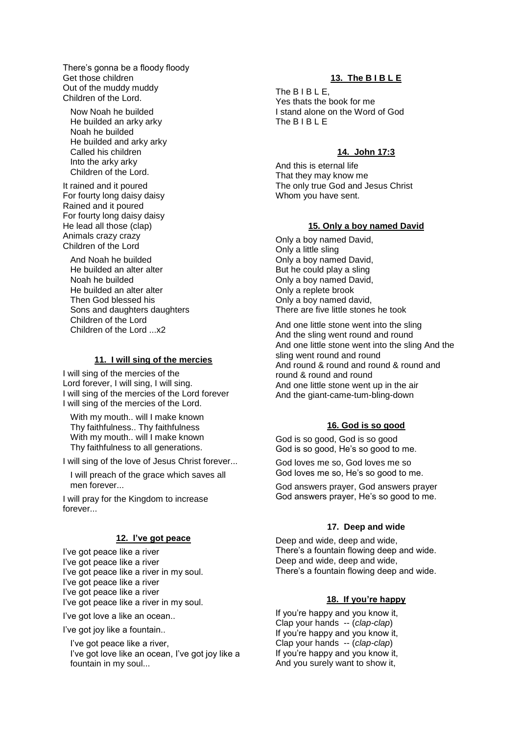There's gonna be a floody floody Get those children Out of the muddy muddy Children of the Lord.

Now Noah he builded He builded an arky arky Noah he builded He builded and arky arky Called his children Into the arky arky Children of the Lord.

It rained and it poured For fourty long daisy daisy Rained and it poured For fourty long daisy daisy He lead all those (clap) Animals crazy crazy Children of the Lord

And Noah he builded He builded an alter alter Noah he builded He builded an alter alter Then God blessed his Sons and daughters daughters Children of the Lord Children of the Lord ...x2

# **11. I will sing of the mercies**

I will sing of the mercies of the Lord forever, I will sing, I will sing. I will sing of the mercies of the Lord forever I will sing of the mercies of the Lord.

With my mouth.. will I make known Thy faithfulness.. Thy faithfulness With my mouth.. will I make known Thy faithfulness to all generations.

I will sing of the love of Jesus Christ forever...

I will preach of the grace which saves all men forever...

I will pray for the Kingdom to increase forever...

# **12. I've got peace**

I've got peace like a river I've got peace like a river I've got peace like a river in my soul. I've got peace like a river I've got peace like a river I've got peace like a river in my soul.

I've got love a like an ocean..

I've got joy like a fountain..

I've got peace like a river, I've got love like an ocean, I've got joy like a fountain in my soul...

## **13. The B I B L E**

The B I B L E, Yes thats the book for me I stand alone on the Word of God The B<sub>IBI</sub>F

# **14. John 17:3**

And this is eternal life That they may know me The only true God and Jesus Christ Whom you have sent.

## **15. Only a boy named David**

Only a boy named David, Only a little sling Only a boy named David, But he could play a sling Only a boy named David, Only a replete brook Only a boy named david, There are five little stones he took

And one little stone went into the sling And the sling went round and round And one little stone went into the sling And the sling went round and round And round & round and round & round and round & round and round And one little stone went up in the air And the giant-came-tum-bling-down

## **16. God is so good**

God is so good, God is so good God is so good, He's so good to me.

God loves me so, God loves me so God loves me so, He's so good to me.

God answers prayer, God answers prayer God answers prayer, He's so good to me.

#### **17. Deep and wide**

Deep and wide, deep and wide, There's a fountain flowing deep and wide. Deep and wide, deep and wide, There's a fountain flowing deep and wide.

## **18. If you're happy**

If you're happy and you know it, Clap your hands -- (*clap-clap*) If you're happy and you know it, Clap your hands -- (*clap-clap*) If you're happy and you know it, And you surely want to show it,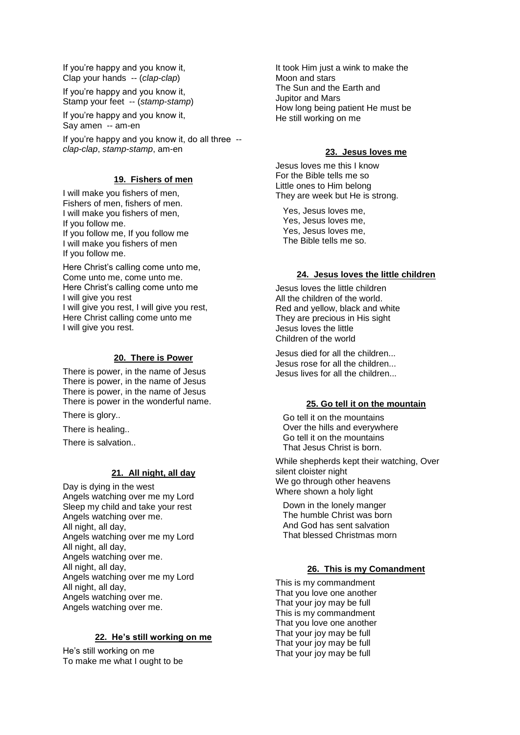If you're happy and you know it, Clap your hands -- (*clap-clap*)

If you're happy and you know it, Stamp your feet -- (*stamp-stamp*)

If you're happy and you know it, Say amen -- am-en

If you're happy and you know it, do all three - *clap-clap*, *stamp-stamp*, am-en

## **19. Fishers of men**

I will make you fishers of men, Fishers of men, fishers of men. I will make you fishers of men, If you follow me. If you follow me, If you follow me I will make you fishers of men If you follow me.

Here Christ's calling come unto me, Come unto me, come unto me. Here Christ's calling come unto me I will give you rest I will give you rest, I will give you rest, Here Christ calling come unto me I will give you rest.

## **20. There is Power**

There is power, in the name of Jesus There is power, in the name of Jesus There is power, in the name of Jesus There is power in the wonderful name.

There is glory..

There is healing..

There is salvation..

# **21. All night, all day**

Day is dying in the west Angels watching over me my Lord Sleep my child and take your rest Angels watching over me. All night, all day, Angels watching over me my Lord All night, all day, Angels watching over me. All night, all day, Angels watching over me my Lord All night, all day, Angels watching over me. Angels watching over me.

## **22. He's still working on me**

He's still working on me To make me what I ought to be It took Him just a wink to make the Moon and stars The Sun and the Earth and Jupitor and Mars How long being patient He must be He still working on me

# **23. Jesus loves me**

Jesus loves me this I know For the Bible tells me so Little ones to Him belong They are week but He is strong.

Yes, Jesus loves me, Yes, Jesus loves me, Yes, Jesus loves me, The Bible tells me so.

## **24. Jesus loves the little children**

Jesus loves the little children All the children of the world. Red and yellow, black and white They are precious in His sight Jesus loves the little Children of the world

Jesus died for all the children... Jesus rose for all the children... Jesus lives for all the children...

# **25. Go tell it on the mountain**

Go tell it on the mountains Over the hills and everywhere Go tell it on the mountains That Jesus Christ is born.

While shepherds kept their watching, Over silent cloister night We go through other heavens Where shown a holy light

Down in the lonely manger The humble Christ was born And God has sent salvation That blessed Christmas morn

# **26. This is my Comandment**

This is my commandment That you love one another That your joy may be full This is my commandment That you love one another That your joy may be full That your joy may be full That your joy may be full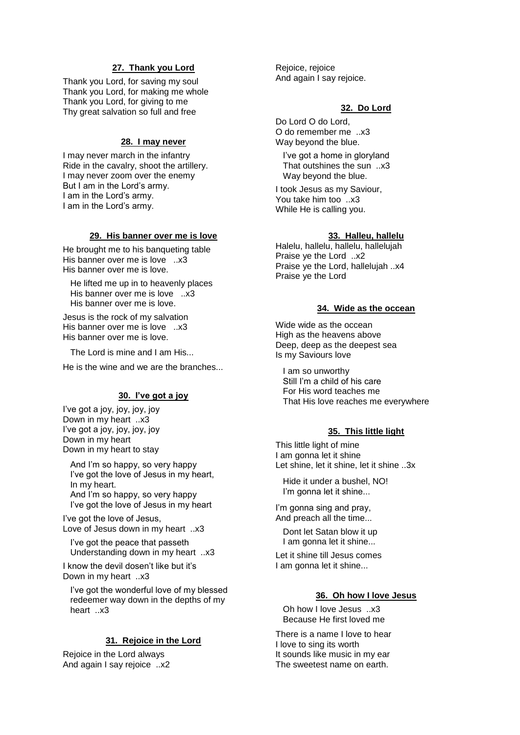## **27. Thank you Lord**

Thank you Lord, for saving my soul Thank you Lord, for making me whole Thank you Lord, for giving to me Thy great salvation so full and free

## **28. I may never**

I may never march in the infantry Ride in the cavalry, shoot the artillery. I may never zoom over the enemy But I am in the Lord's army. I am in the Lord's army. I am in the Lord's army.

## **29. His banner over me is love**

He brought me to his banqueting table His banner over me is love ..x3 His banner over me is love.

He lifted me up in to heavenly places His banner over me is love ..x3 His banner over me is love.

Jesus is the rock of my salvation His banner over me is love ..x3 His banner over me is love.

The Lord is mine and I am His...

He is the wine and we are the branches...

#### **30. I've got a joy**

I've got a joy, joy, joy, joy Down in my heart ..x3 I've got a joy, joy, joy, joy Down in my heart Down in my heart to stay

And I'm so happy, so very happy I've got the love of Jesus in my heart, In my heart. And I'm so happy, so very happy I've got the love of Jesus in my heart

I've got the love of Jesus, Love of Jesus down in my heart ..x3

I've got the peace that passeth Understanding down in my heart ..x3

I know the devil dosen't like but it's Down in my heart ..x3

I've got the wonderful love of my blessed redeemer way down in the depths of my heart ..x3

#### **31. Rejoice in the Lord**

Rejoice in the Lord always And again I say rejoice ..x2 Rejoice, rejoice And again I say rejoice.

## **32. Do Lord**

Do Lord O do Lord, O do remember me ..x3 Way beyond the blue.

I've got a home in gloryland That outshines the sun ..x3 Way beyond the blue.

I took Jesus as my Saviour, You take him too ..x3 While He is calling you.

# **33. Halleu, hallelu**

Halelu, hallelu, hallelu, hallelujah Praise ye the Lord ..x2 Praise ye the Lord, hallelujah ..x4 Praise ye the Lord

#### **34. Wide as the occean**

Wide wide as the occean High as the heavens above Deep, deep as the deepest sea Is my Saviours love

I am so unworthy Still I'm a child of his care For His word teaches me That His love reaches me everywhere

## **35. This little light**

This little light of mine I am gonna let it shine Let shine, let it shine, let it shine ..3x

Hide it under a bushel, NO! I'm gonna let it shine...

I'm gonna sing and pray, And preach all the time...

Dont let Satan blow it up I am gonna let it shine...

Let it shine till Jesus comes I am gonna let it shine...

# **36. Oh how I love Jesus**

Oh how I love Jesus ..x3 Because He first loved me

There is a name I love to hear I love to sing its worth It sounds like music in my ear The sweetest name on earth.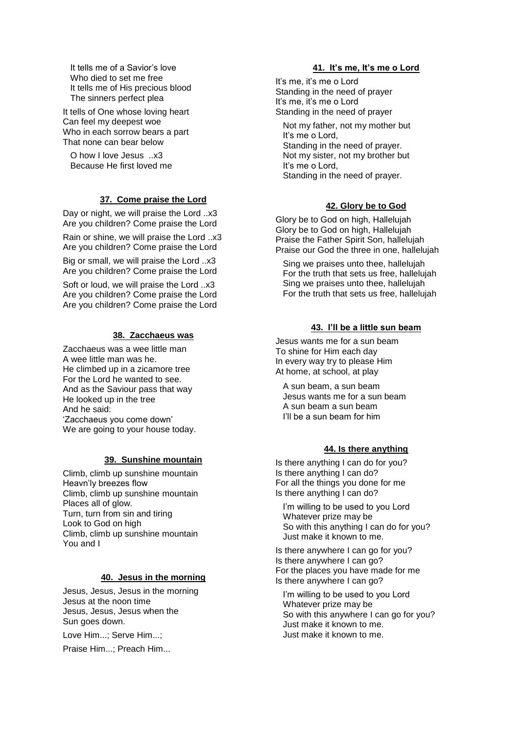It tells me of a Savior's love Who died to set me free It tells me of His precious blood The sinners perfect plea

It tells of One whose loving heart Can feel my deepest woe Who in each sorrow bears a part That none can bear below

 $O$  how I love Jesus  $x3$ Because He first loved me

## **37. Come praise the Lord**

Day or night, we will praise the Lord ..x3 Are you children? Come praise the Lord

Rain or shine, we will praise the Lord ..x3 Are you children? Come praise the Lord

Big or small, we will praise the Lord ..x3 Are you children? Come praise the Lord

Soft or loud, we will praise the Lord ..x3 Are you children? Come praise the Lord Are you children? Come praise the Lord

## **38. Zacchaeus was**

Zacchaeus was a wee little man A wee little man was he. He climbed up in a zicamore tree For the Lord he wanted to see. And as the Saviour pass that way He looked up in the tree And he said: 'Zacchaeus you come down' We are going to your house today.

#### **39. Sunshine mountain**

Climb, climb up sunshine mountain Heavn'ly breezes flow Climb, climb up sunshine mountain Places all of glow. Turn, turn from sin and tiring Look to God on high Climb, climb up sunshine mountain You and I

## **40. Jesus in the morning**

Jesus, Jesus, Jesus in the morning Jesus at the noon time Jesus, Jesus, Jesus when the Sun goes down.

Love Him...; Serve Him...;

Praise Him...; Preach Him...

## **41. It's me, It's me o Lord**

It's me, it's me o Lord Standing in the need of prayer It's me, it's me o Lord Standing in the need of prayer Not my father, not my mother but It's me o Lord, Standing in the need of prayer. Not my sister, not my brother but It's me o Lord, Standing in the need of prayer.

# **42. Glory be to God**

Glory be to God on high, Hallelujah Glory be to God on high, Hallelujah Praise the Father Spirit Son, hallelujah Praise our God the three in one, hallelujah

Sing we praises unto thee, hallelujah For the truth that sets us free, hallelujah Sing we praises unto thee, hallelujah For the truth that sets us free, hallelujah

## **43. I'll be a little sun beam**

Jesus wants me for a sun beam To shine for Him each day In every way try to please Him At home, at school, at play

A sun beam, a sun beam Jesus wants me for a sun beam A sun beam a sun beam I'll be a sun beam for him

## **44. Is there anything**

Is there anything I can do for you? Is there anything I can do? For all the things you done for me Is there anything I can do?

I'm willing to be used to you Lord Whatever prize may be So with this anything I can do for you? Just make it known to me.

Is there anywhere I can go for you? Is there anywhere I can go? For the places you have made for me Is there anywhere I can go?

I'm willing to be used to you Lord Whatever prize may be So with this anywhere I can go for you? Just make it known to me. Just make it known to me.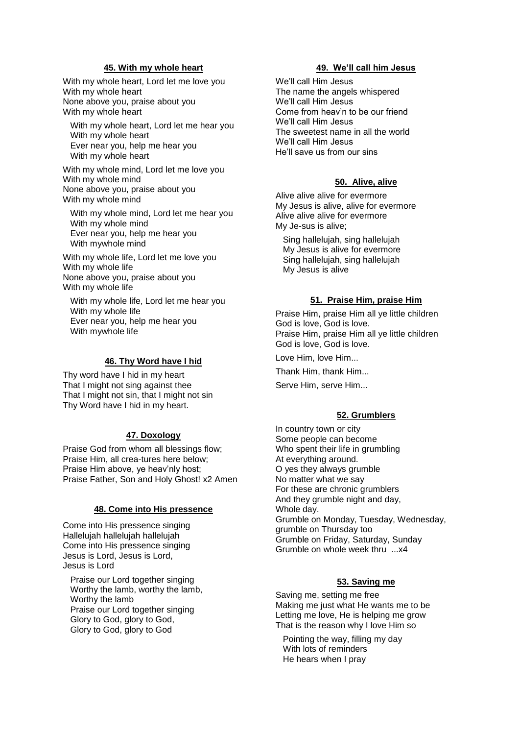## **45. With my whole heart**

With my whole heart, Lord let me love you With my whole heart None above you, praise about you With my whole heart

With my whole heart, Lord let me hear you With my whole heart Ever near you, help me hear you With my whole heart

With my whole mind, Lord let me love you With my whole mind None above you, praise about you With my whole mind

With my whole mind, Lord let me hear you With my whole mind Ever near you, help me hear you With mywhole mind

With my whole life, Lord let me love you With my whole life None above you, praise about you With my whole life

With my whole life, Lord let me hear you With my whole life Ever near you, help me hear you With mywhole life

## **46. Thy Word have I hid**

Thy word have I hid in my heart That I might not sing against thee That I might not sin, that I might not sin Thy Word have I hid in my heart.

## **47. Doxology**

Praise God from whom all blessings flow; Praise Him, all crea-tures here below; Praise Him above, ye heav'nly host; Praise Father, Son and Holy Ghost! x2 Amen

## **48. Come into His pressence**

Come into His pressence singing Hallelujah hallelujah hallelujah Come into His pressence singing Jesus is Lord, Jesus is Lord, Jesus is Lord

Praise our Lord together singing Worthy the lamb, worthy the lamb, Worthy the lamb Praise our Lord together singing Glory to God, glory to God, Glory to God, glory to God

## **49. We'll call him Jesus**

We'll call Him Jesus The name the angels whispered We'll call Him Jesus Come from heav'n to be our friend We'll call Him Jesus The sweetest name in all the world We'll call Him Jesus He'll save us from our sins

# **50. Alive, alive**

Alive alive alive for evermore My Jesus is alive, alive for evermore Alive alive alive for evermore My Je-sus is alive;

Sing hallelujah, sing hallelujah My Jesus is alive for evermore Sing hallelujah, sing hallelujah My Jesus is alive

## **51. Praise Him, praise Him**

Praise Him, praise Him all ye little children God is love, God is love. Praise Him, praise Him all ye little children God is love, God is love.

Love Him, love Him...

Thank Him, thank Him...

Serve Him, serve Him...

## **52. Grumblers**

In country town or city Some people can become Who spent their life in grumbling At everything around. O yes they always grumble No matter what we say For these are chronic grumblers And they grumble night and day, Whole day. Grumble on Monday, Tuesday, Wednesday, grumble on Thursday too Grumble on Friday, Saturday, Sunday Grumble on whole week thru ...x4

## **53. Saving me**

Saving me, setting me free Making me just what He wants me to be Letting me love, He is helping me grow That is the reason why I love Him so

Pointing the way, filling my day With lots of reminders He hears when I pray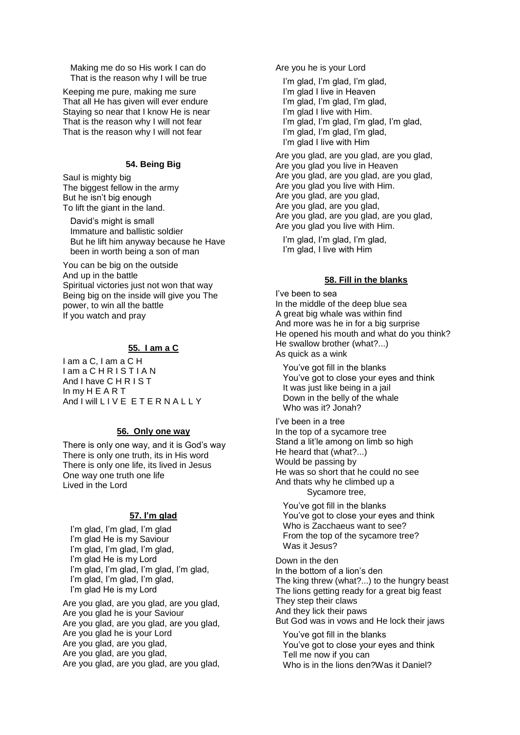Making me do so His work I can do That is the reason why I will be true

Keeping me pure, making me sure That all He has given will ever endure Staying so near that I know He is near That is the reason why I will not fear That is the reason why I will not fear

# **54. Being Big**

Saul is mighty big The biggest fellow in the army But he isn't big enough To lift the giant in the land.

David's might is small Immature and ballistic soldier But he lift him anyway because he Have been in worth being a son of man

You can be big on the outside And up in the battle Spiritual victories just not won that way Being big on the inside will give you The power, to win all the battle If you watch and pray

## **55. I am a C**

I am a C, I am a C H I am a C H R I S T I A N And I have C H R I S T In my H E A R T And I will LIVE ETERNALLY

#### **56. Only one way**

There is only one way, and it is God's way There is only one truth, its in His word There is only one life, its lived in Jesus One way one truth one life Lived in the Lord

#### **57. I'm glad**

I'm glad, I'm glad, I'm glad I'm glad He is my Saviour I'm glad, I'm glad, I'm glad, I'm glad He is my Lord I'm glad, I'm glad, I'm glad, I'm glad, I'm glad, I'm glad, I'm glad, I'm glad He is my Lord

Are you glad, are you glad, are you glad, Are you glad he is your Saviour Are you glad, are you glad, are you glad, Are you glad he is your Lord Are you glad, are you glad, Are you glad, are you glad, Are you glad, are you glad, are you glad, Are you he is your Lord I'm glad, I'm glad, I'm glad, I'm glad I live in Heaven I'm glad, I'm glad, I'm glad, I'm glad I live with Him. I'm glad, I'm glad, I'm glad, I'm glad, I'm glad, I'm glad, I'm glad, I'm glad I live with Him

Are you glad, are you glad, are you glad, Are you glad you live in Heaven Are you glad, are you glad, are you glad, Are you glad you live with Him. Are you glad, are you glad, Are you glad, are you glad, Are you glad, are you glad, are you glad, Are you glad you live with Him.

I'm glad, I'm glad, I'm glad, I'm glad, I live with Him

#### **58. Fill in the blanks**

I've been to sea In the middle of the deep blue sea A great big whale was within find And more was he in for a big surprise He opened his mouth and what do you think? He swallow brother (what?...) As quick as a wink

You've got fill in the blanks You've got to close your eyes and think It was just like being in a jail Down in the belly of the whale Who was it? Jonah?

I've been in a tree In the top of a sycamore tree Stand a lit'le among on limb so high He heard that (what?...) Would be passing by He was so short that he could no see And thats why he climbed up a Sycamore tree,

You've got fill in the blanks You've got to close your eyes and think Who is Zacchaeus want to see? From the top of the sycamore tree? Was it Jesus?

Down in the den In the bottom of a lion's den The king threw (what?...) to the hungry beast The lions getting ready for a great big feast They step their claws And they lick their paws But God was in vows and He lock their jaws You've got fill in the blanks

You've got to close your eyes and think Tell me now if you can Who is in the lions den?Was it Daniel?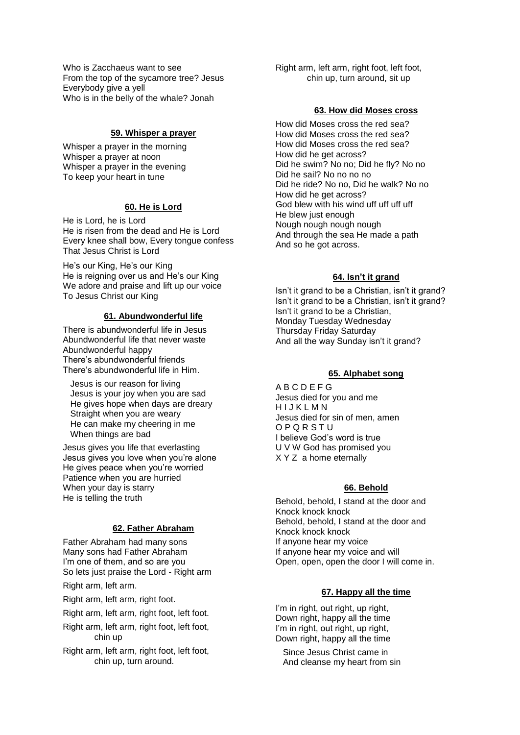Who is Zacchaeus want to see From the top of the sycamore tree? Jesus Everybody give a yell Who is in the belly of the whale? Jonah

## **59. Whisper a prayer**

Whisper a prayer in the morning Whisper a prayer at noon Whisper a prayer in the evening To keep your heart in tune

# **60. He is Lord**

He is Lord, he is Lord He is risen from the dead and He is Lord Every knee shall bow, Every tongue confess That Jesus Christ is Lord

He's our King, He's our King He is reigning over us and He's our King We adore and praise and lift up our voice To Jesus Christ our King

## **61. Abundwonderful life**

There is abundwonderful life in Jesus Abundwonderful life that never waste Abundwonderful happy There's abundwonderful friends There's abundwonderful life in Him.

Jesus is our reason for living Jesus is your joy when you are sad He gives hope when days are dreary Straight when you are weary He can make my cheering in me When things are bad

Jesus gives you life that everlasting Jesus gives you love when you're alone He gives peace when you're worried Patience when you are hurried When your day is starry He is telling the truth

## **62. Father Abraham**

Father Abraham had many sons Many sons had Father Abraham I'm one of them, and so are you So lets just praise the Lord - Right arm

Right arm, left arm.

Right arm, left arm, right foot.

- Right arm, left arm, right foot, left foot.
- Right arm, left arm, right foot, left foot, chin up

Right arm, left arm, right foot, left foot, chin up, turn around.

Right arm, left arm, right foot, left foot, chin up, turn around, sit up

## **63. How did Moses cross**

How did Moses cross the red sea? How did Moses cross the red sea? How did Moses cross the red sea? How did he get across? Did he swim? No no; Did he fly? No no Did he sail? No no no no Did he ride? No no, Did he walk? No no How did he get across? God blew with his wind uff uff uff uff He blew just enough Nough nough nough nough And through the sea He made a path And so he got across.

# **64. Isn't it grand**

Isn't it grand to be a Christian, isn't it grand? Isn't it grand to be a Christian, isn't it grand? Isn't it grand to be a Christian, Monday Tuesday Wednesday Thursday Friday Saturday And all the way Sunday isn't it grand?

# **65. Alphabet song**

A B C D E F G Jesus died for you and me **HIJKLMN** Jesus died for sin of men, amen O P Q R S T U I believe God's word is true U V W God has promised you X Y Z a home eternally

# **66. Behold**

Behold, behold, I stand at the door and Knock knock knock Behold, behold, I stand at the door and Knock knock knock If anyone hear my voice If anyone hear my voice and will Open, open, open the door I will come in.

# **67. Happy all the time**

I'm in right, out right, up right, Down right, happy all the time I'm in right, out right, up right, Down right, happy all the time

Since Jesus Christ came in And cleanse my heart from sin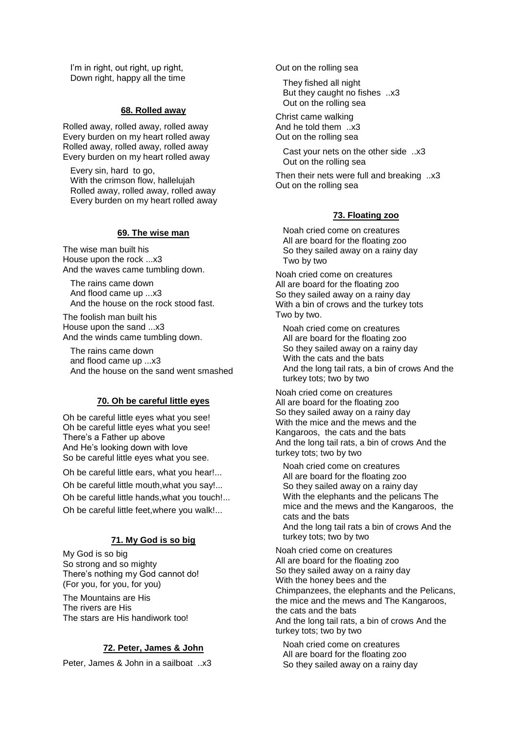I'm in right, out right, up right, Down right, happy all the time

#### **68. Rolled away**

Rolled away, rolled away, rolled away Every burden on my heart rolled away Rolled away, rolled away, rolled away Every burden on my heart rolled away

Every sin, hard to go, With the crimson flow, hallelujah Rolled away, rolled away, rolled away Every burden on my heart rolled away

## **69. The wise man**

The wise man built his House upon the rock ...x3 And the waves came tumbling down.

The rains came down And flood came up ...x3 And the house on the rock stood fast.

The foolish man built his House upon the sand ...x3 And the winds came tumbling down.

The rains came down and flood came up ...x3 And the house on the sand went smashed

## **70. Oh be careful little eyes**

Oh be careful little eyes what you see! Oh be careful little eyes what you see! There's a Father up above And He's looking down with love So be careful little eyes what you see.

Oh be careful little ears, what you hear!...

Oh be careful little mouth,what you say!... Oh be careful little hands,what you touch!... Oh be careful little feet,where you walk!...

## **71. My God is so big**

My God is so big So strong and so mighty There's nothing my God cannot do! (For you, for you, for you)

The Mountains are His The rivers are His The stars are His handiwork too!

## **72. Peter, James & John**

Peter, James & John in a sailboat ..x3

Out on the rolling sea

They fished all night But they caught no fishes ..x3 Out on the rolling sea

Christ came walking And he told them ..x3 Out on the rolling sea

Cast your nets on the other side ..x3 Out on the rolling sea

Then their nets were full and breaking ..x3 Out on the rolling sea

### **73. Floating zoo**

Noah cried come on creatures All are board for the floating zoo So they sailed away on a rainy day Two by two

Noah cried come on creatures All are board for the floating zoo So they sailed away on a rainy day With a bin of crows and the turkey tots Two by two.

Noah cried come on creatures All are board for the floating zoo So they sailed away on a rainy day With the cats and the bats And the long tail rats, a bin of crows And the turkey tots; two by two

Noah cried come on creatures All are board for the floating zoo So they sailed away on a rainy day With the mice and the mews and the Kangaroos, the cats and the bats And the long tail rats, a bin of crows And the turkey tots; two by two

Noah cried come on creatures All are board for the floating zoo So they sailed away on a rainy day With the elephants and the pelicans The mice and the mews and the Kangaroos, the cats and the bats And the long tail rats a bin of crows And the turkey tots; two by two

Noah cried come on creatures All are board for the floating zoo So they sailed away on a rainy day With the honey bees and the Chimpanzees, the elephants and the Pelicans, the mice and the mews and The Kangaroos, the cats and the bats And the long tail rats, a bin of crows And the turkey tots; two by two

Noah cried come on creatures All are board for the floating zoo So they sailed away on a rainy day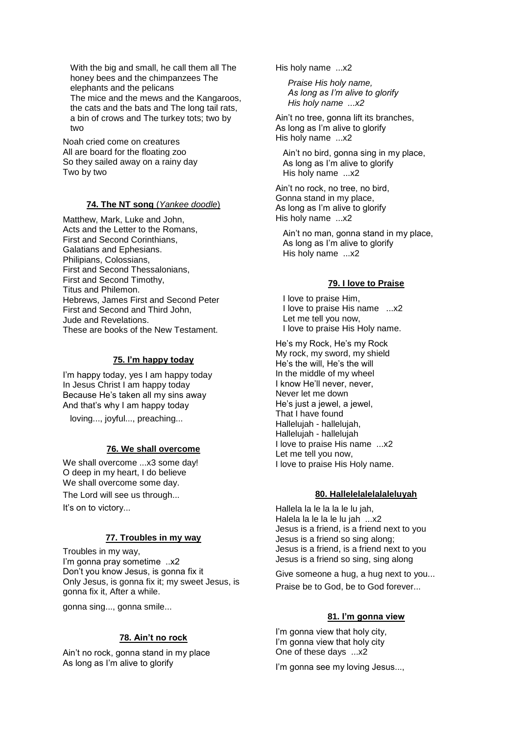With the big and small, he call them all The honey bees and the chimpanzees The elephants and the pelicans The mice and the mews and the Kangaroos, the cats and the bats and The long tail rats, a bin of crows and The turkey tots; two by two

Noah cried come on creatures All are board for the floating zoo So they sailed away on a rainy day Two by two

## **74. The NT song** (*Yankee doodle*)

Matthew, Mark, Luke and John, Acts and the Letter to the Romans, First and Second Corinthians, Galatians and Ephesians. Philipians, Colossians, First and Second Thessalonians, First and Second Timothy, Titus and Philemon. Hebrews, James First and Second Peter First and Second and Third John, Jude and Revelations. These are books of the New Testament.

## **75. I'm happy today**

I'm happy today, yes I am happy today In Jesus Christ I am happy today Because He's taken all my sins away And that's why I am happy today

loving..., joyful..., preaching...

#### **76. We shall overcome**

We shall overcome ...x3 some day! O deep in my heart, I do believe We shall overcome some day. The Lord will see us through... It's on to victory...

#### **77. Troubles in my way**

Troubles in my way, I'm gonna pray sometime ..x2 Don't you know Jesus, is gonna fix it Only Jesus, is gonna fix it; my sweet Jesus, is gonna fix it, After a while.

gonna sing..., gonna smile...

## **78. Ain't no rock**

Ain't no rock, gonna stand in my place As long as I'm alive to glorify

His holy name ...x2

*Praise His holy name, As long as I'm alive to glorify His holy name ...x2*

Ain't no tree, gonna lift its branches, As long as I'm alive to glorify His holy name ...x2

Ain't no bird, gonna sing in my place, As long as I'm alive to glorify His holy name ...x2

Ain't no rock, no tree, no bird, Gonna stand in my place, As long as I'm alive to glorify His holy name ...x2

Ain't no man, gonna stand in my place, As long as I'm alive to glorify His holy name ...x2

#### **79. I love to Praise**

I love to praise Him, I love to praise His name ...x2 Let me tell you now, I love to praise His Holy name.

He's my Rock, He's my Rock My rock, my sword, my shield He's the will, He's the will In the middle of my wheel I know He'll never, never, Never let me down He's just a jewel, a jewel, That I have found Hallelujah - hallelujah, Hallelujah - hallelujah I love to praise His name ...x2 Let me tell you now, I love to praise His Holy name.

#### **80. Hallelelalelalaleluyah**

Hallela la le la la le lu jah, Halela la le la le lu jah ...x2 Jesus is a friend, is a friend next to you Jesus is a friend so sing along; Jesus is a friend, is a friend next to you Jesus is a friend so sing, sing along

Give someone a hug, a hug next to you... Praise be to God, be to God forever...

## **81. I'm gonna view**

I'm gonna view that holy city, I'm gonna view that holy city One of these days ...x2

I'm gonna see my loving Jesus...,